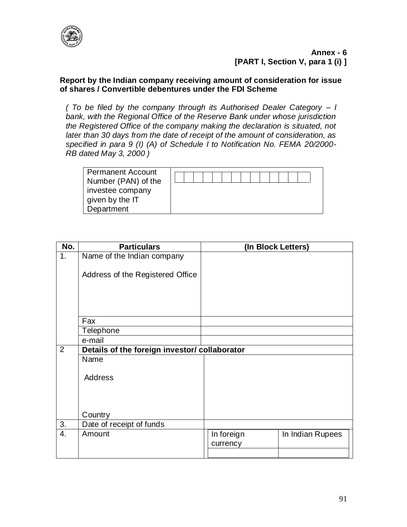

## **Report by the Indian company receiving amount of consideration for issue of shares / Convertible debentures under the FDI Scheme**

*( To be filed by the company through its Authorised Dealer Category – I bank, with the Regional Office of the Reserve Bank under whose jurisdiction the Registered Office of the company making the declaration is situated, not later than 30 days from the date of receipt of the amount of consideration, as specified in para 9 (I) (A) of Schedule I to Notification No. FEMA 20/2000- RB dated May 3, 2000 )*

| <b>Permanent Account</b> |  |  |  |  |  |  |  |
|--------------------------|--|--|--|--|--|--|--|
| Number (PAN) of the      |  |  |  |  |  |  |  |
| investee company         |  |  |  |  |  |  |  |
| given by the IT          |  |  |  |  |  |  |  |
| Department               |  |  |  |  |  |  |  |

| No. | <b>Particulars</b>                            | (In Block Letters) |                  |
|-----|-----------------------------------------------|--------------------|------------------|
| 1.  | Name of the Indian company                    |                    |                  |
|     |                                               |                    |                  |
|     | Address of the Registered Office              |                    |                  |
|     |                                               |                    |                  |
|     |                                               |                    |                  |
|     |                                               |                    |                  |
|     | Fax                                           |                    |                  |
|     | Telephone                                     |                    |                  |
|     | e-mail                                        |                    |                  |
| 2   | Details of the foreign investor/ collaborator |                    |                  |
|     | Name                                          |                    |                  |
|     |                                               |                    |                  |
|     | <b>Address</b>                                |                    |                  |
|     |                                               |                    |                  |
|     |                                               |                    |                  |
|     | Country                                       |                    |                  |
| 3.  | Date of receipt of funds                      |                    |                  |
| 4.  | Amount                                        | In foreign         | In Indian Rupees |
|     |                                               | currency           |                  |
|     |                                               |                    |                  |